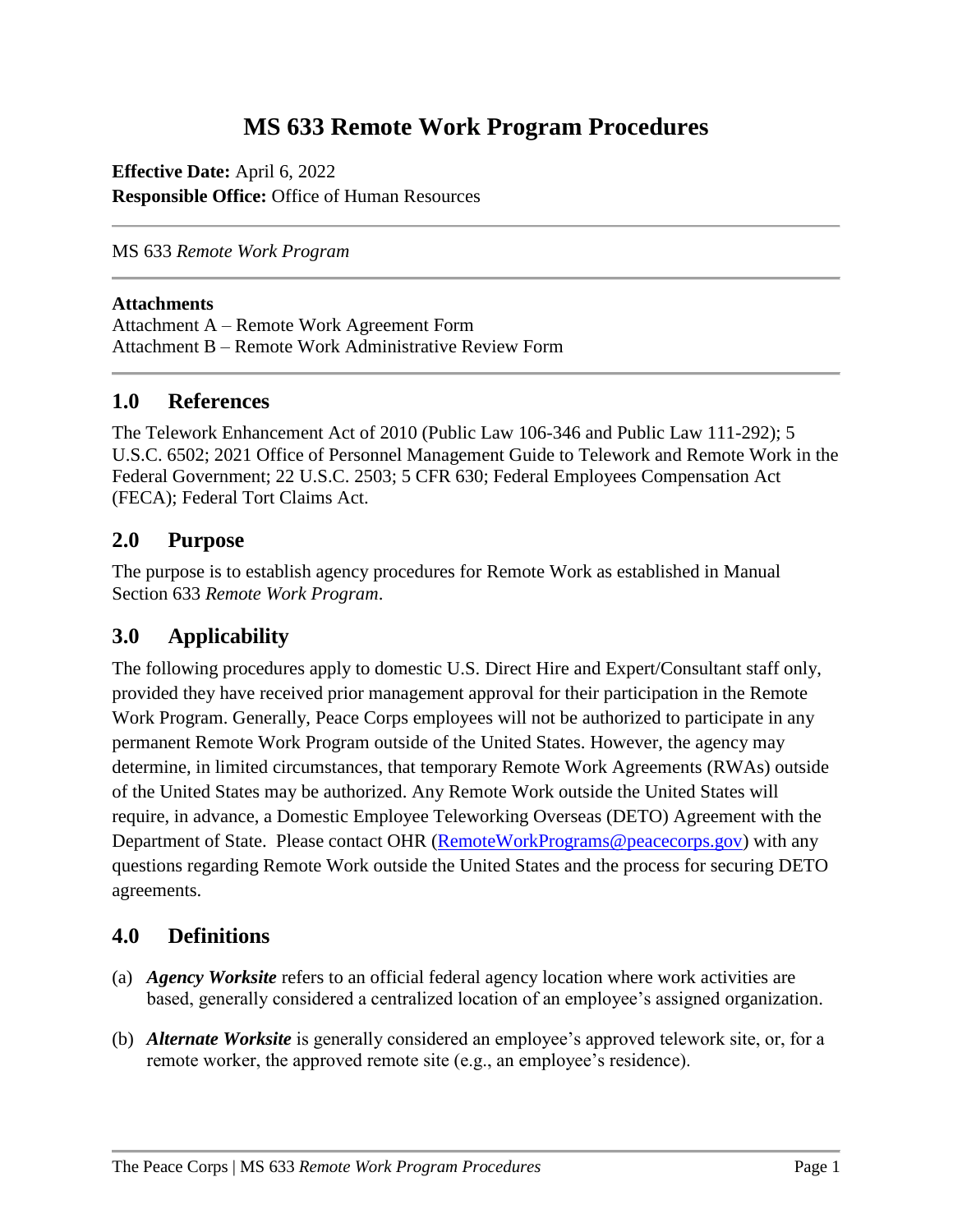# **MS 633 Remote Work Program Procedures**

**Effective Date:** April 6, 2022 **Responsible Office:** Office of Human Resources

MS 633 *Remote Work Program*

#### **Attachments**

Attachment A – Remote Work Agreement Form Attachment B – Remote Work Administrative Review Form

#### **1.0 References**

The Telework Enhancement Act of 2010 (Public Law 106-346 and Public Law 111-292); 5 U.S.C. 6502; 2021 Office of Personnel Management Guide to Telework and Remote Work in the Federal Government; 22 U.S.C. 2503; 5 CFR 630; Federal Employees Compensation Act (FECA); Federal Tort Claims Act.

#### **2.0 Purpose**

The purpose is to establish agency procedures for Remote Work as established in Manual Section 633 *Remote Work Program*.

### **3.0 Applicability**

The following procedures apply to domestic U.S. Direct Hire and Expert/Consultant staff only, provided they have received prior management approval for their participation in the Remote Work Program. Generally, Peace Corps employees will not be authorized to participate in any permanent Remote Work Program outside of the United States. However, the agency may determine, in limited circumstances, that temporary Remote Work Agreements (RWAs) outside of the United States may be authorized. Any Remote Work outside the United States will require, in advance, a Domestic Employee Teleworking Overseas (DETO) Agreement with the Department of State. Please contact OHR [\(RemoteWorkPrograms@peacecorps.gov\)](mailto:RemoteWorkPrograms@peacecorps.gov) with any questions regarding Remote Work outside the United States and the process for securing DETO agreements.

### **4.0 Definitions**

- (a) *Agency Worksite* refers to an official federal agency location where work activities are based, generally considered a centralized location of an employee's assigned organization.
- (b) *Alternate Worksite* is generally considered an employee's approved telework site, or, for a remote worker, the approved remote site (e.g., an employee's residence).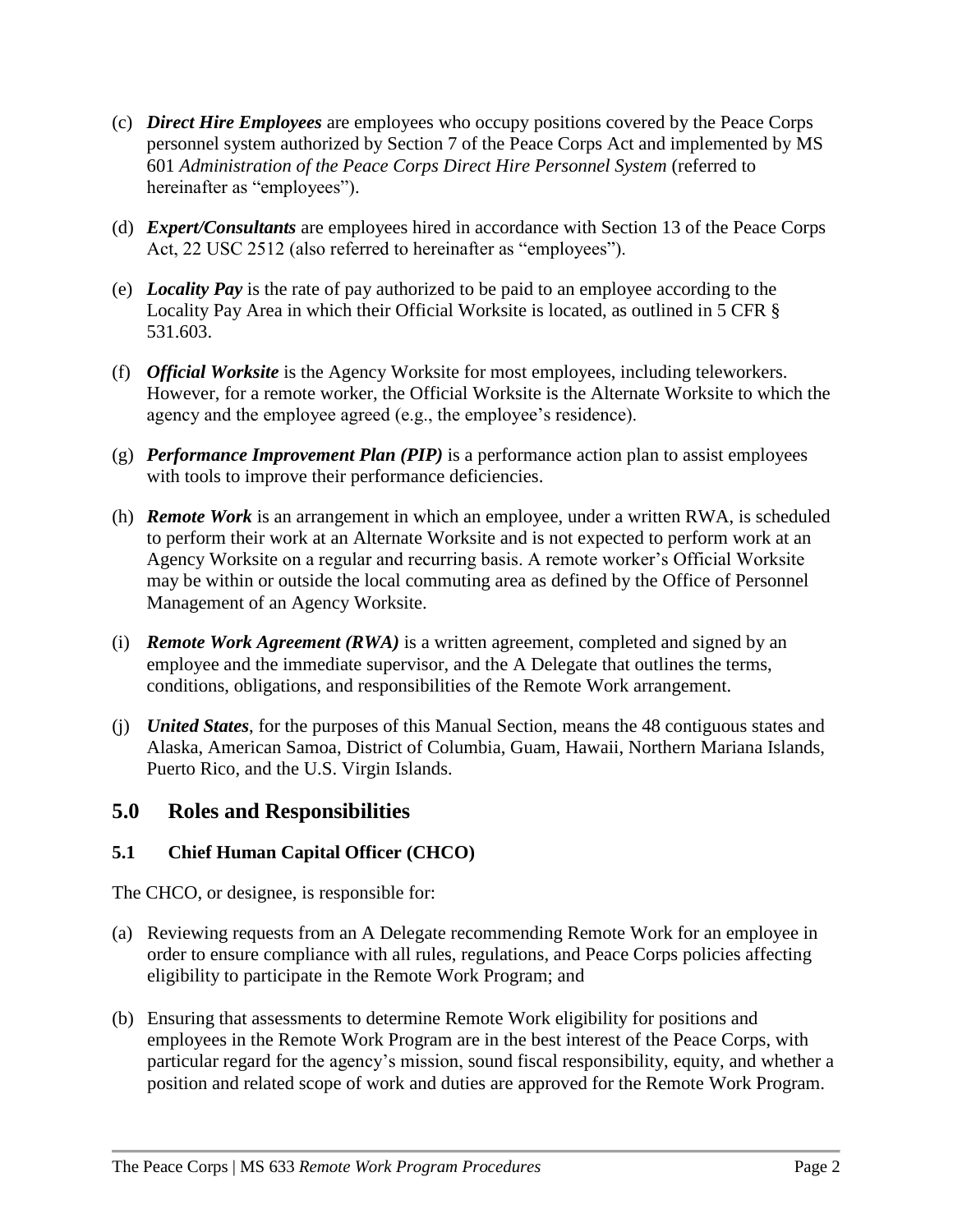- (c) *Direct Hire Employees* are employees who occupy positions covered by the Peace Corps personnel system authorized by Section 7 of the Peace Corps Act and implemented by MS 601 *Administration of the Peace Corps Direct Hire Personnel System* (referred to hereinafter as "employees").
- (d) *Expert/Consultants* are employees hired in accordance with Section 13 of the Peace Corps Act, 22 USC 2512 (also referred to hereinafter as "employees").
- (e) *Locality Pay* is the rate of pay authorized to be paid to an employee according to the Locality Pay Area in which their Official Worksite is located, as outlined in 5 CFR § 531.603.
- (f) *Official Worksite* is the Agency Worksite for most employees, including teleworkers. However, for a remote worker, the Official Worksite is the Alternate Worksite to which the agency and the employee agreed (e.g., the employee's residence).
- (g) *Performance Improvement Plan (PIP)* is a performance action plan to assist employees with tools to improve their performance deficiencies.
- (h) *Remote Work* is an arrangement in which an employee, under a written RWA, is scheduled to perform their work at an Alternate Worksite and is not expected to perform work at an Agency Worksite on a regular and recurring basis. A remote worker's Official Worksite may be within or outside the local commuting area as defined by the Office of Personnel Management of an Agency Worksite.
- (i) *Remote Work Agreement (RWA)* is a written agreement, completed and signed by an employee and the immediate supervisor, and the A Delegate that outlines the terms, conditions, obligations, and responsibilities of the Remote Work arrangement.
- (j) *United States*, for the purposes of this Manual Section, means the 48 contiguous states and Alaska, American Samoa, District of Columbia, Guam, Hawaii, Northern Mariana Islands, Puerto Rico, and the U.S. Virgin Islands.

### **5.0 Roles and Responsibilities**

### **5.1 Chief Human Capital Officer (CHCO)**

The CHCO, or designee, is responsible for:

- (a) Reviewing requests from an A Delegate recommending Remote Work for an employee in order to ensure compliance with all rules, regulations, and Peace Corps policies affecting eligibility to participate in the Remote Work Program; and
- (b) Ensuring that assessments to determine Remote Work eligibility for positions and employees in the Remote Work Program are in the best interest of the Peace Corps, with particular regard for the agency's mission, sound fiscal responsibility, equity, and whether a position and related scope of work and duties are approved for the Remote Work Program.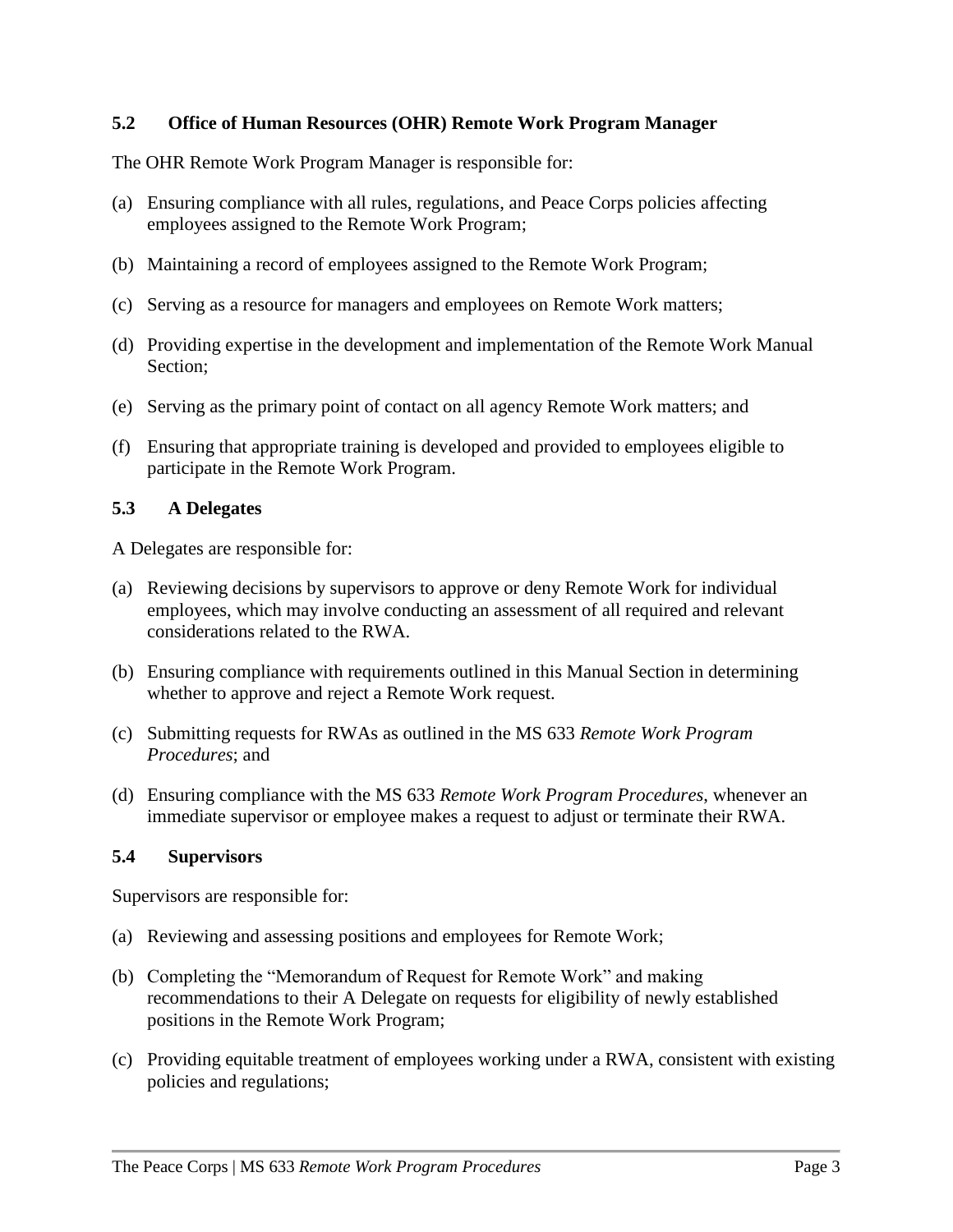#### **5.2 Office of Human Resources (OHR) Remote Work Program Manager**

The OHR Remote Work Program Manager is responsible for:

- (a) Ensuring compliance with all rules, regulations, and Peace Corps policies affecting employees assigned to the Remote Work Program;
- (b) Maintaining a record of employees assigned to the Remote Work Program;
- (c) Serving as a resource for managers and employees on Remote Work matters;
- (d) Providing expertise in the development and implementation of the Remote Work Manual Section;
- (e) Serving as the primary point of contact on all agency Remote Work matters; and
- (f) Ensuring that appropriate training is developed and provided to employees eligible to participate in the Remote Work Program.

#### **5.3 A Delegates**

A Delegates are responsible for:

- (a) Reviewing decisions by supervisors to approve or deny Remote Work for individual employees, which may involve conducting an assessment of all required and relevant considerations related to the RWA.
- (b) Ensuring compliance with requirements outlined in this Manual Section in determining whether to approve and reject a Remote Work request.
- (c) Submitting requests for RWAs as outlined in the MS 633 *Remote Work Program Procedures*; and
- (d) Ensuring compliance with the MS 633 *Remote Work Program Procedures*, whenever an immediate supervisor or employee makes a request to adjust or terminate their RWA.

#### **5.4 Supervisors**

Supervisors are responsible for:

- (a) Reviewing and assessing positions and employees for Remote Work;
- (b) Completing the "Memorandum of Request for Remote Work" and making recommendations to their A Delegate on requests for eligibility of newly established positions in the Remote Work Program;
- (c) Providing equitable treatment of employees working under a RWA, consistent with existing policies and regulations;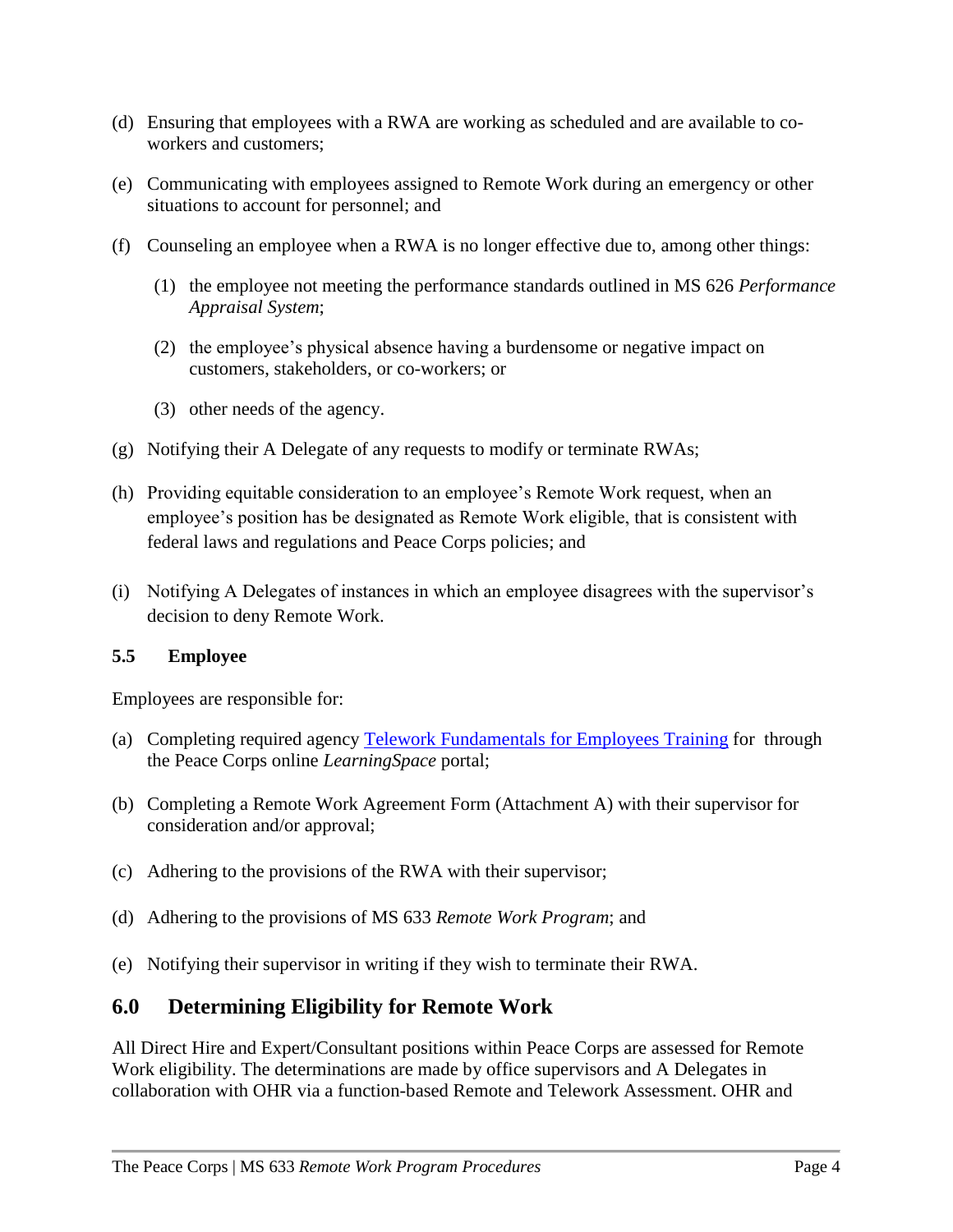- (d) Ensuring that employees with a RWA are working as scheduled and are available to coworkers and customers;
- (e) Communicating with employees assigned to Remote Work during an emergency or other situations to account for personnel; and
- (f) Counseling an employee when a RWA is no longer effective due to, among other things:
	- (1) the employee not meeting the performance standards outlined in MS 626 *Performance Appraisal System*;
	- (2) the employee's physical absence having a burdensome or negative impact on customers, stakeholders, or co-workers; or
	- (3) other needs of the agency.
- (g) Notifying their A Delegate of any requests to modify or terminate RWAs;
- (h) Providing equitable consideration to an employee's Remote Work request, when an employee's position has be designated as Remote Work eligible, that is consistent with federal laws and regulations and Peace Corps policies; and
- (i) Notifying A Delegates of instances in which an employee disagrees with the supervisor's decision to deny Remote Work.

### **5.5 Employee**

Employees are responsible for:

- (a) Completing required agency [Telework Fundamentals for Employees Training](https://learning.peacecorps.gov/course/index.php?categoryid=222) for through the Peace Corps online *LearningSpace* portal;
- (b) Completing a Remote Work Agreement Form (Attachment A) with their supervisor for consideration and/or approval;
- (c) Adhering to the provisions of the RWA with their supervisor;
- (d) Adhering to the provisions of MS 633 *Remote Work Program*; and
- (e) Notifying their supervisor in writing if they wish to terminate their RWA.

## **6.0 Determining Eligibility for Remote Work**

All Direct Hire and Expert/Consultant positions within Peace Corps are assessed for Remote Work eligibility. The determinations are made by office supervisors and A Delegates in collaboration with OHR via a function-based Remote and Telework Assessment. OHR and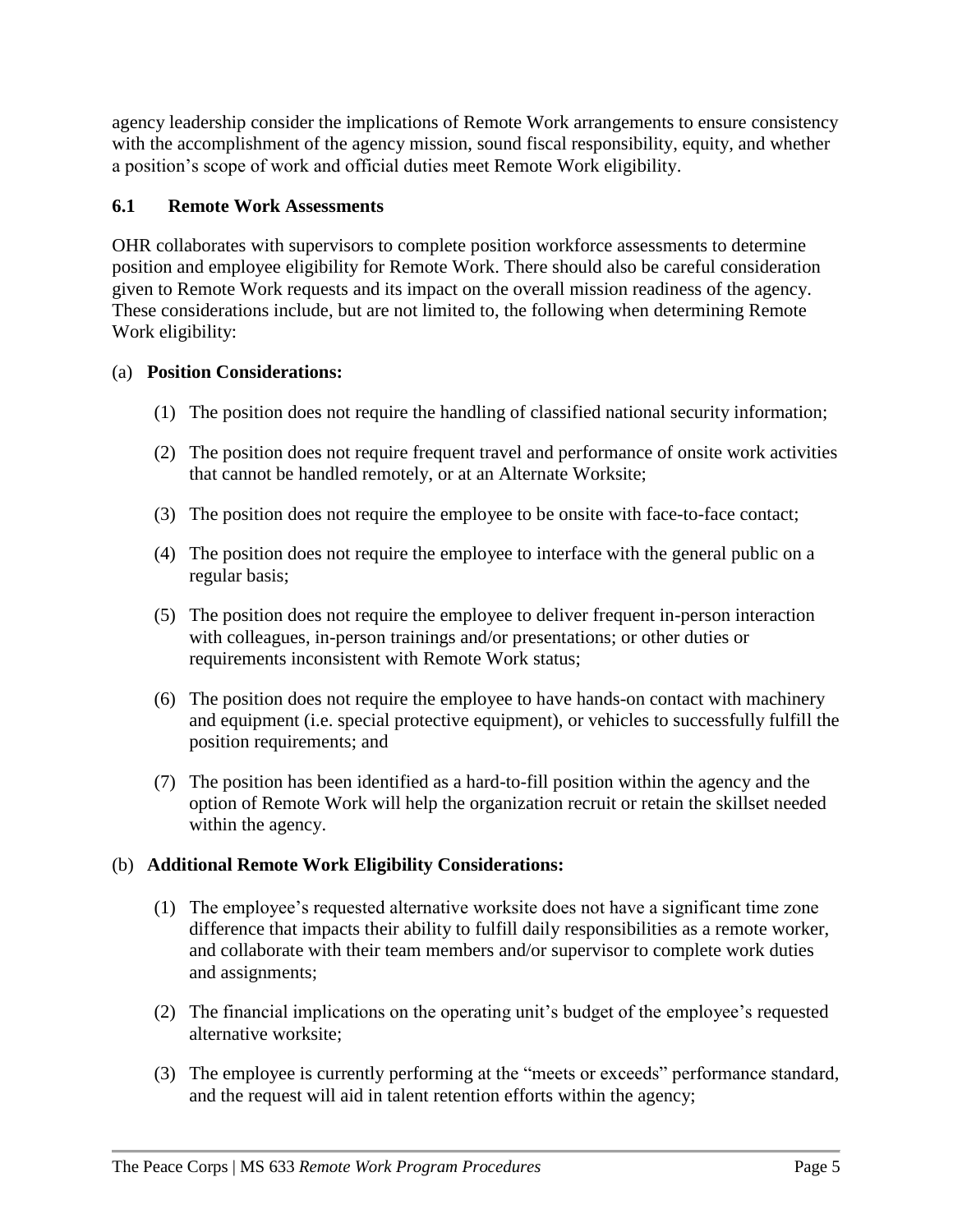agency leadership consider the implications of Remote Work arrangements to ensure consistency with the accomplishment of the agency mission, sound fiscal responsibility, equity, and whether a position's scope of work and official duties meet Remote Work eligibility.

### **6.1 Remote Work Assessments**

OHR collaborates with supervisors to complete position workforce assessments to determine position and employee eligibility for Remote Work. There should also be careful consideration given to Remote Work requests and its impact on the overall mission readiness of the agency. These considerations include, but are not limited to, the following when determining Remote Work eligibility:

### (a) **Position Considerations:**

- (1) The position does not require the handling of classified national security information;
- (2) The position does not require frequent travel and performance of onsite work activities that cannot be handled remotely, or at an Alternate Worksite;
- (3) The position does not require the employee to be onsite with face-to-face contact;
- (4) The position does not require the employee to interface with the general public on a regular basis;
- (5) The position does not require the employee to deliver frequent in-person interaction with colleagues, in-person trainings and/or presentations; or other duties or requirements inconsistent with Remote Work status;
- (6) The position does not require the employee to have hands-on contact with machinery and equipment (i.e. special protective equipment), or vehicles to successfully fulfill the position requirements; and
- (7) The position has been identified as a hard-to-fill position within the agency and the option of Remote Work will help the organization recruit or retain the skillset needed within the agency.

### (b) **Additional Remote Work Eligibility Considerations:**

- (1) The employee's requested alternative worksite does not have a significant time zone difference that impacts their ability to fulfill daily responsibilities as a remote worker, and collaborate with their team members and/or supervisor to complete work duties and assignments;
- (2) The financial implications on the operating unit's budget of the employee's requested alternative worksite;
- (3) The employee is currently performing at the "meets or exceeds" performance standard, and the request will aid in talent retention efforts within the agency;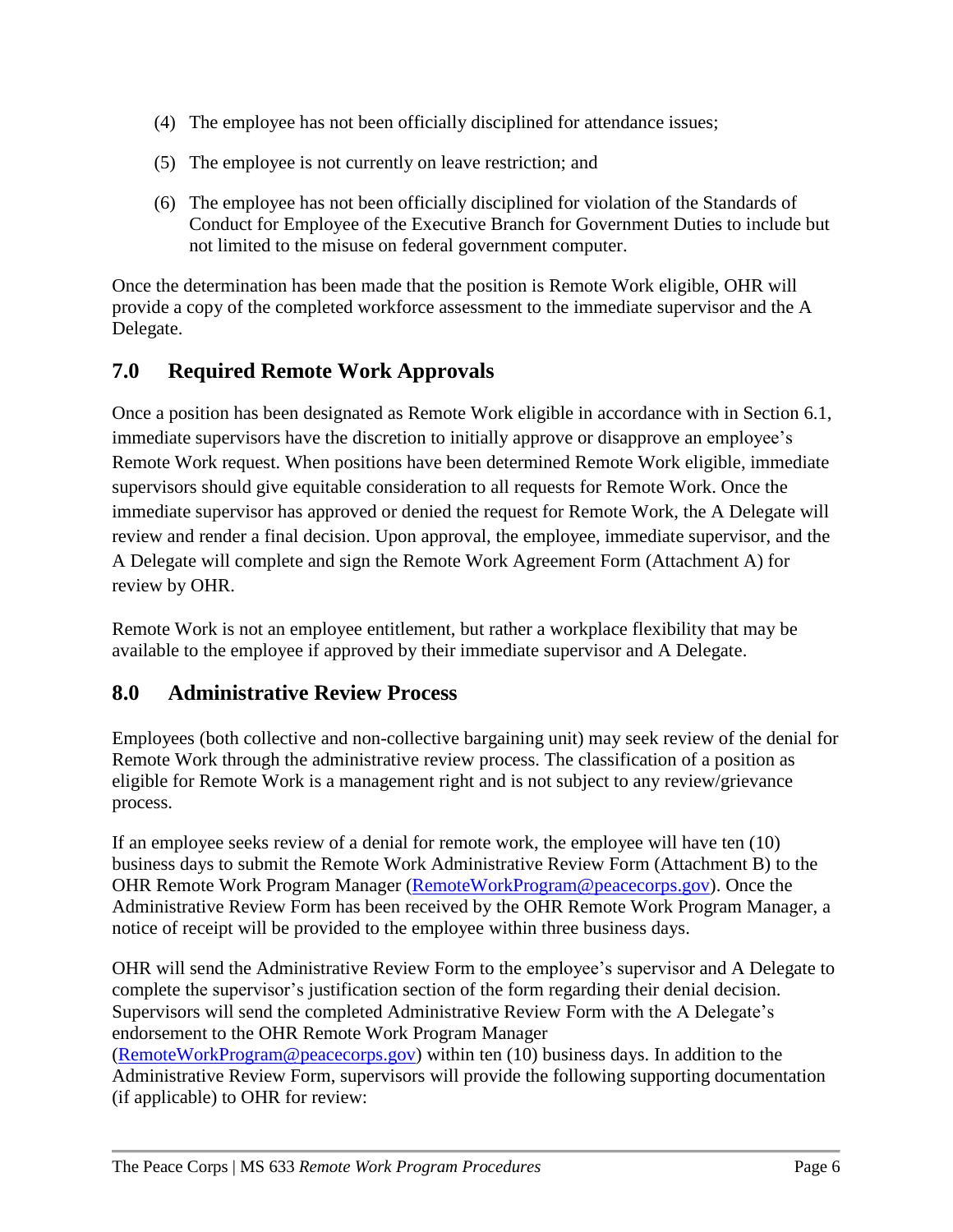- (4) The employee has not been officially disciplined for attendance issues;
- (5) The employee is not currently on leave restriction; and
- (6) The employee has not been officially disciplined for violation of the Standards of Conduct for Employee of the Executive Branch for Government Duties to include but not limited to the misuse on federal government computer.

Once the determination has been made that the position is Remote Work eligible, OHR will provide a copy of the completed workforce assessment to the immediate supervisor and the A Delegate.

## **7.0 Required Remote Work Approvals**

Once a position has been designated as Remote Work eligible in accordance with in Section 6.1, immediate supervisors have the discretion to initially approve or disapprove an employee's Remote Work request. When positions have been determined Remote Work eligible, immediate supervisors should give equitable consideration to all requests for Remote Work. Once the immediate supervisor has approved or denied the request for Remote Work, the A Delegate will review and render a final decision. Upon approval, the employee, immediate supervisor, and the A Delegate will complete and sign the Remote Work Agreement Form (Attachment A) for review by OHR.

Remote Work is not an employee entitlement, but rather a workplace flexibility that may be available to the employee if approved by their immediate supervisor and A Delegate.

## **8.0 Administrative Review Process**

Employees (both collective and non-collective bargaining unit) may seek review of the denial for Remote Work through the administrative review process. The classification of a position as eligible for Remote Work is a management right and is not subject to any review/grievance process.

If an employee seeks review of a denial for remote work, the employee will have ten (10) business days to submit the Remote Work Administrative Review Form (Attachment B) to the OHR Remote Work Program Manager [\(RemoteWorkProgram@peacecorps.gov\)](mailto:RemoteWorkProgram@peacecorps.gov). Once the Administrative Review Form has been received by the OHR Remote Work Program Manager, a notice of receipt will be provided to the employee within three business days.

OHR will send the Administrative Review Form to the employee's supervisor and A Delegate to complete the supervisor's justification section of the form regarding their denial decision. Supervisors will send the completed Administrative Review Form with the A Delegate's endorsement to the OHR Remote Work Program Manager [\(RemoteWorkProgram@peacecorps.gov\)](mailto:RemoteWorkProgram@peacecorps.gov) within ten (10) business days. In addition to the Administrative Review Form, supervisors will provide the following supporting documentation (if applicable) to OHR for review: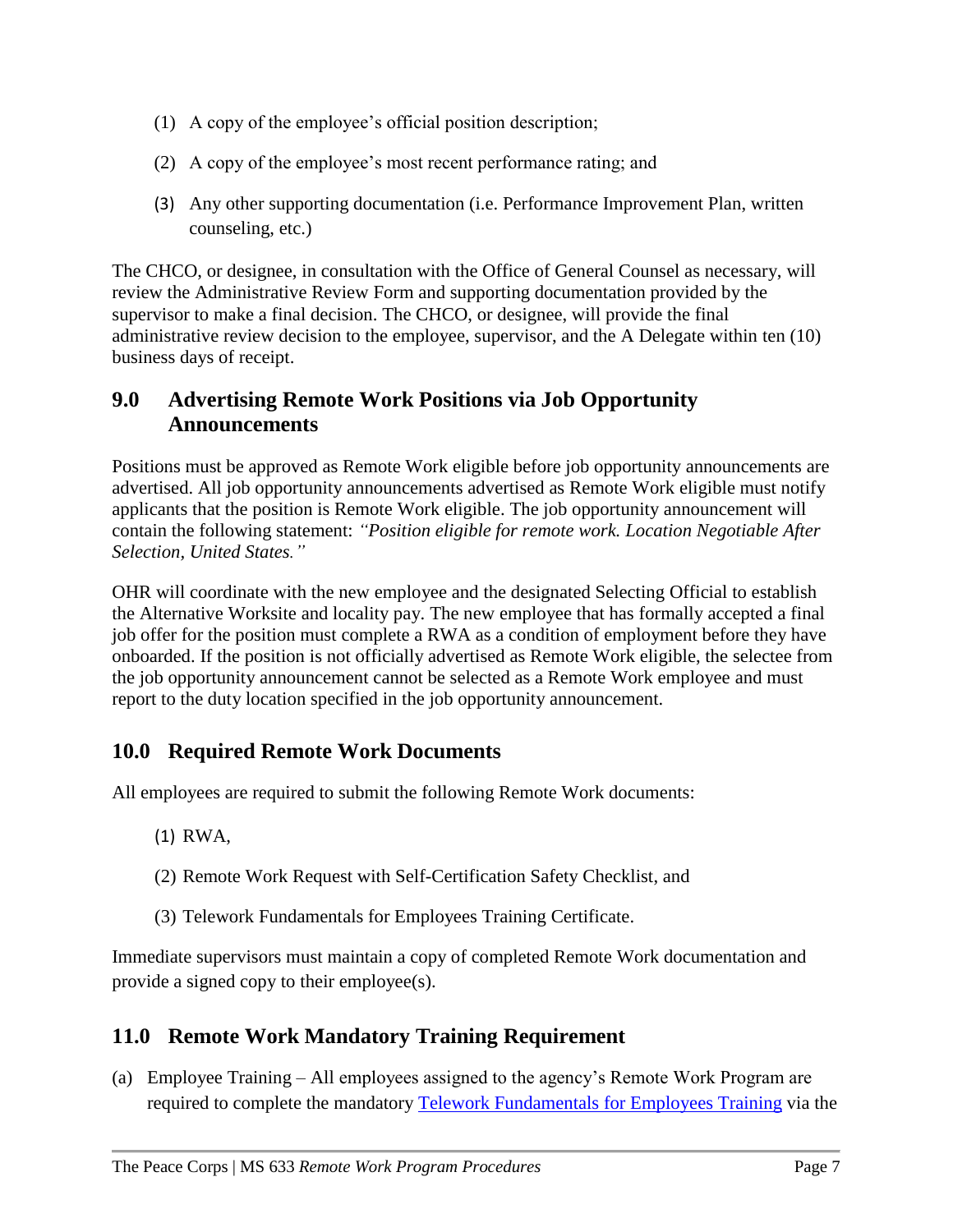- (1) A copy of the employee's official position description;
- (2) A copy of the employee's most recent performance rating; and
- (3) Any other supporting documentation (i.e. Performance Improvement Plan, written counseling, etc.)

The CHCO, or designee, in consultation with the Office of General Counsel as necessary, will review the Administrative Review Form and supporting documentation provided by the supervisor to make a final decision. The CHCO, or designee, will provide the final administrative review decision to the employee, supervisor, and the A Delegate within ten (10) business days of receipt.

### **9.0 Advertising Remote Work Positions via Job Opportunity Announcements**

Positions must be approved as Remote Work eligible before job opportunity announcements are advertised. All job opportunity announcements advertised as Remote Work eligible must notify applicants that the position is Remote Work eligible. The job opportunity announcement will contain the following statement: *"Position eligible for remote work. Location Negotiable After Selection, United States."*

OHR will coordinate with the new employee and the designated Selecting Official to establish the Alternative Worksite and locality pay. The new employee that has formally accepted a final job offer for the position must complete a RWA as a condition of employment before they have onboarded. If the position is not officially advertised as Remote Work eligible, the selectee from the job opportunity announcement cannot be selected as a Remote Work employee and must report to the duty location specified in the job opportunity announcement.

## **10.0 Required Remote Work Documents**

All employees are required to submit the following Remote Work documents:

- (1) RWA,
- (2) Remote Work Request with Self-Certification Safety Checklist, and
- (3) Telework Fundamentals for Employees Training Certificate.

Immediate supervisors must maintain a copy of completed Remote Work documentation and provide a signed copy to their employee(s).

## **11.0 Remote Work Mandatory Training Requirement**

(a) Employee Training – All employees assigned to the agency's Remote Work Program are required to complete the mandatory [Telework Fundamentals for Employees Training](https://learning.peacecorps.gov/course/index.php?categoryid=222) via the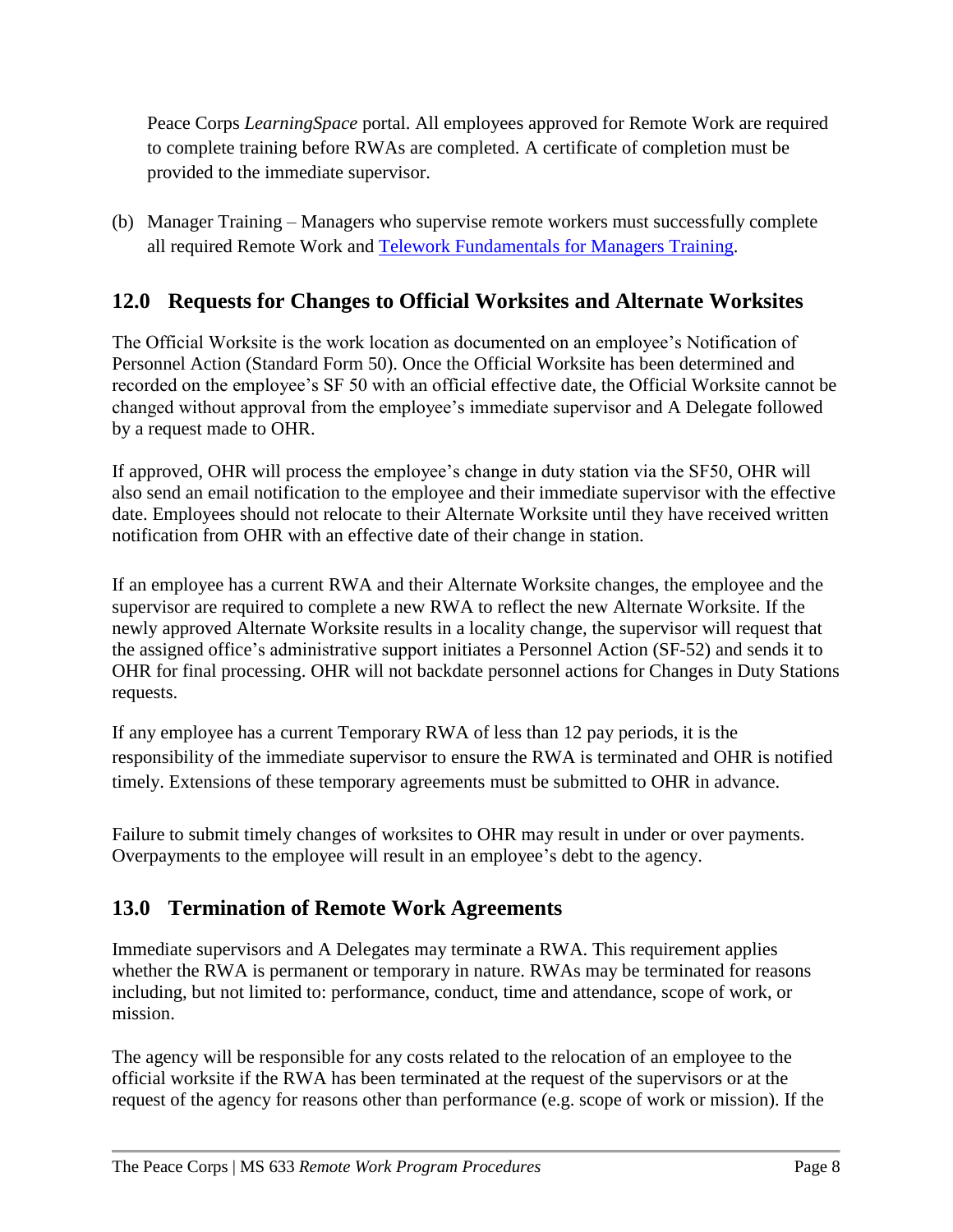Peace Corps *LearningSpace* portal. All employees approved for Remote Work are required to complete training before RWAs are completed. A certificate of completion must be provided to the immediate supervisor.

(b) Manager Training – Managers who supervise remote workers must successfully complete all required Remote Work and Telework [Fundamentals for Managers](https://learning.peacecorps.gov/course/index.php?categoryid=222) Training.

## **12.0 Requests for Changes to Official Worksites and Alternate Worksites**

The Official Worksite is the work location as documented on an employee's Notification of Personnel Action (Standard Form 50). Once the Official Worksite has been determined and recorded on the employee's SF 50 with an official effective date, the Official Worksite cannot be changed without approval from the employee's immediate supervisor and A Delegate followed by a request made to OHR.

If approved, OHR will process the employee's change in duty station via the SF50, OHR will also send an email notification to the employee and their immediate supervisor with the effective date. Employees should not relocate to their Alternate Worksite until they have received written notification from OHR with an effective date of their change in station.

If an employee has a current RWA and their Alternate Worksite changes, the employee and the supervisor are required to complete a new RWA to reflect the new Alternate Worksite. If the newly approved Alternate Worksite results in a locality change, the supervisor will request that the assigned office's administrative support initiates a Personnel Action (SF-52) and sends it to OHR for final processing. OHR will not backdate personnel actions for Changes in Duty Stations requests.

If any employee has a current Temporary RWA of less than 12 pay periods, it is the responsibility of the immediate supervisor to ensure the RWA is terminated and OHR is notified timely. Extensions of these temporary agreements must be submitted to OHR in advance.

Failure to submit timely changes of worksites to OHR may result in under or over payments. Overpayments to the employee will result in an employee's debt to the agency.

## **13.0 Termination of Remote Work Agreements**

Immediate supervisors and A Delegates may terminate a RWA. This requirement applies whether the RWA is permanent or temporary in nature. RWAs may be terminated for reasons including, but not limited to: performance, conduct, time and attendance, scope of work, or mission.

The agency will be responsible for any costs related to the relocation of an employee to the official worksite if the RWA has been terminated at the request of the supervisors or at the request of the agency for reasons other than performance (e.g. scope of work or mission). If the